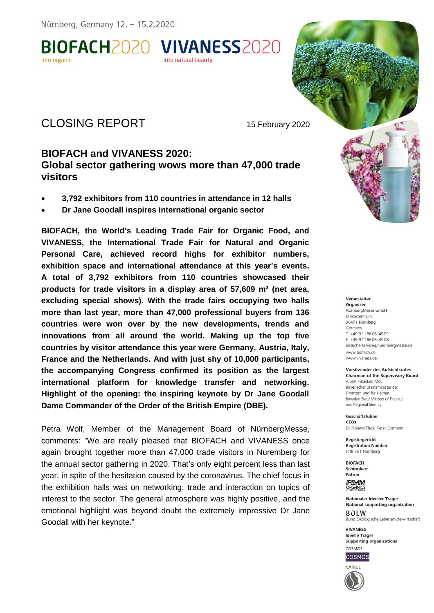BIOFACH2020 VIVANESS2020 into natural beauty

# CLOSING REPORT 15 February 2020

# **BIOFACH and VIVANESS 2020: Global sector gathering wows more than 47,000 trade visitors**

- **3,792 exhibitors from 110 countries in attendance in 12 halls**
- **Dr Jane Goodall inspires international organic sector**

**BIOFACH, the World's Leading Trade Fair for Organic Food, and VIVANESS, the International Trade Fair for Natural and Organic Personal Care, achieved record highs for exhibitor numbers, exhibition space and international attendance at this year's events. A total of 3,792 exhibitors from 110 countries showcased their products for trade visitors in a display area of 57,609 m² (net area, excluding special shows). With the trade fairs occupying two halls more than last year, more than 47,000 professional buyers from 136 countries were won over by the new developments, trends and innovations from all around the world. Making up the top five countries by visitor attendance this year were Germany, Austria, Italy, France and the Netherlands. And with just shy of 10,000 participants, the accompanying Congress confirmed its position as the largest international platform for knowledge transfer and networking. Highlight of the opening: the inspiring keynote by Dr Jane Goodall Dame Commander of the Order of the British Empire (DBE).** 

Petra Wolf, Member of the Management Board of NürnbergMesse, comments: "We are really pleased that BIOFACH and VIVANESS once again brought together more than 47,000 trade visitors in Nuremberg for the annual sector gathering in 2020. That's only eight percent less than last year, in spite of the hesitation caused by the coronavirus. The chief focus in the exhibition halls was on networking, trade and interaction on topics of interest to the sector. The general atmosphere was highly positive, and the emotional highlight was beyond doubt the extremely impressive Dr Jane Goodall with her keynote."



Veranstalter

Organizer NürnberaMesse GmbH Messezentrum 90471 Nürnberg Germany T +49 9118606-4909 F +49 9118606-4908 besucherservice@nuernbergmesse.de www.biofach.de www.vivaness.de

Vorsitzender des Aufsichtsrates **Chairman of the Supervisory Board** Albert Füracker, MdL Baverischer Staatsminister der Finanzen und für Heimat Bavarian State Minister of Finance

Geschäftsführer CEOS Dr. Roland Fleck, Peter Ottmann

Reaisteraericht **Registration Number** HRB 761 Nürnberg

and Regional Identity

**BIOFACH** Schirmherr Patron

**IF®AM** ORGANICS

Nationaler Ideeller Träger **National supporting organization**  $ROIM$ Bund Ökologische Lebensmittelwirtschaft

**VIVANESS Ideelle Träger Supporting organizations** 



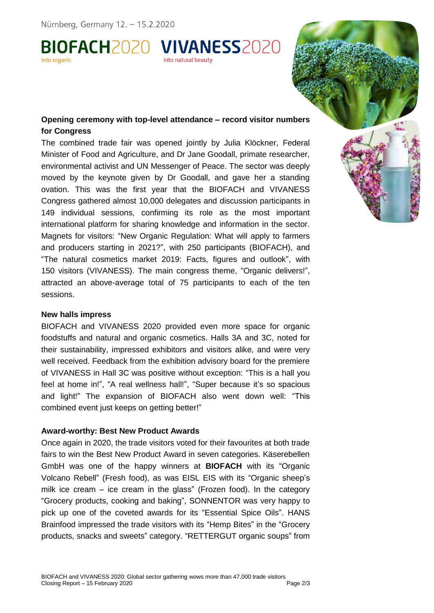BIOFACH2020 VIVANESS2020 into organic into natural beauty

# **Opening ceremony with top-level attendance – record visitor numbers for Congress**

The combined trade fair was opened jointly by Julia Klöckner, Federal Minister of Food and Agriculture, and Dr Jane Goodall, primate researcher, environmental activist and UN Messenger of Peace. The sector was deeply moved by the keynote given by Dr Goodall, and gave her a standing ovation. This was the first year that the BIOFACH and VIVANESS Congress gathered almost 10,000 delegates and discussion participants in 149 individual sessions, confirming its role as the most important international platform for sharing knowledge and information in the sector. Magnets for visitors: "New Organic Regulation: What will apply to farmers and producers starting in 2021?", with 250 participants (BIOFACH), and "The natural cosmetics market 2019: Facts, figures and outlook", with 150 visitors (VIVANESS). The main congress theme, "Organic delivers!", attracted an above-average total of 75 participants to each of the ten sessions.

#### **New halls impress**

BIOFACH and VIVANESS 2020 provided even more space for organic foodstuffs and natural and organic cosmetics. Halls 3A and 3C, noted for their sustainability, impressed exhibitors and visitors alike, and were very well received. Feedback from the exhibition advisory board for the premiere of VIVANESS in Hall 3C was positive without exception: "This is a hall you feel at home in!", "A real wellness hall!", "Super because it's so spacious and light!" The expansion of BIOFACH also went down well: "This combined event just keeps on getting better!"

# **Award-worthy: Best New Product Awards**

Once again in 2020, the trade visitors voted for their favourites at both trade fairs to win the Best New Product Award in seven categories. Käserebellen GmbH was one of the happy winners at **BIOFACH** with its "Organic Volcano Rebell" (Fresh food), as was EISL EIS with its "Organic sheep's milk ice cream – ice cream in the glass" (Frozen food). In the category "Grocery products, cooking and baking", SONNENTOR was very happy to pick up one of the coveted awards for its "Essential Spice Oils". HANS Brainfood impressed the trade visitors with its "Hemp Bites" in the "Grocery products, snacks and sweets" category. "RETTERGUT organic soups" from